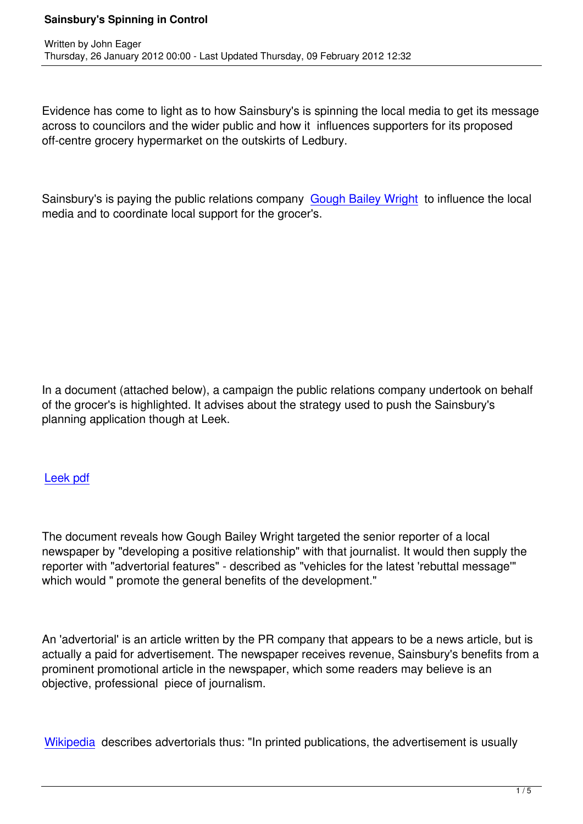Evidence has come to light as to how Sainsbury's is spinning the local media to get its message across to councilors and the wider public and how it influences supporters for its proposed off-centre grocery hypermarket on the outskirts of Ledbury.

Sainsbury's is paying the public relations company Gough Bailey Wright to influence the local media and to coordinate local support for the grocer's.

In a document (attached below), a campaign the public relations company undertook on behalf of the grocer's is highlighted. It advises about the strategy used to push the Sainsbury's planning application though at Leek.

## Leek pdf

[The docu](http://www.saveledbury.com/fileadmin/user_upload/general_folder/Gough_Leek_PR_citation.pdf)ment reveals how Gough Bailey Wright targeted the senior reporter of a local newspaper by "developing a positive relationship" with that journalist. It would then supply the reporter with "advertorial features" - described as "vehicles for the latest 'rebuttal message'" which would " promote the general benefits of the development."

An 'advertorial' is an article written by the PR company that appears to be a news article, but is actually a paid for advertisement. The newspaper receives revenue, Sainsbury's benefits from a prominent promotional article in the newspaper, which some readers may believe is an objective, professional piece of journalism.

Wikipedia describes advertorials thus: "In printed publications, the advertisement is usually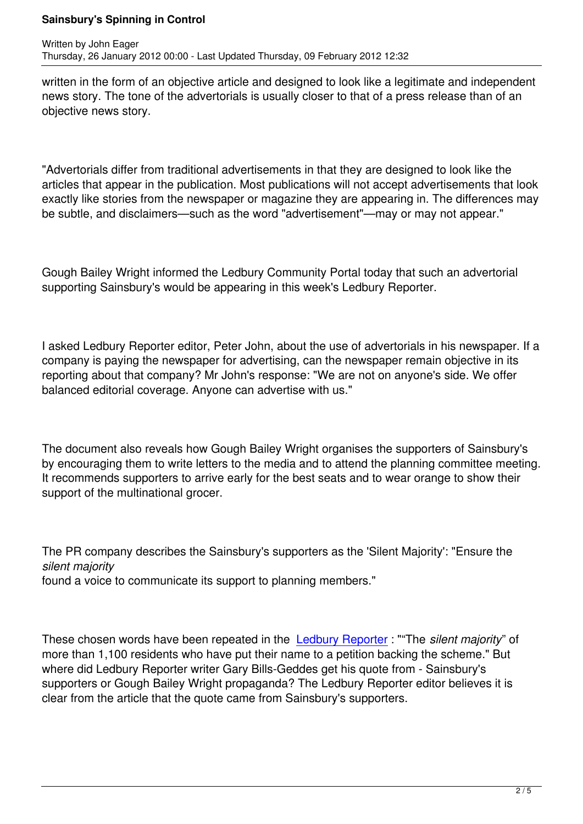written in the form of an objective article and designed to look like a legitimate and independent news story. The tone of the advertorials is usually closer to that of a press release than of an objective news story.

"Advertorials differ from traditional advertisements in that they are designed to look like the articles that appear in the publication. Most publications will not accept advertisements that look exactly like stories from the newspaper or magazine they are appearing in. The differences may be subtle, and disclaimers—such as the word "advertisement"—may or may not appear."

Gough Bailey Wright informed the Ledbury Community Portal today that such an advertorial supporting Sainsbury's would be appearing in this week's Ledbury Reporter.

I asked Ledbury Reporter editor, Peter John, about the use of advertorials in his newspaper. If a company is paying the newspaper for advertising, can the newspaper remain objective in its reporting about that company? Mr John's response: "We are not on anyone's side. We offer balanced editorial coverage. Anyone can advertise with us."

The document also reveals how Gough Bailey Wright organises the supporters of Sainsbury's by encouraging them to write letters to the media and to attend the planning committee meeting. It recommends supporters to arrive early for the best seats and to wear orange to show their support of the multinational grocer.

The PR company describes the Sainsbury's supporters as the 'Silent Majority': "Ensure the *silent majority* found a voice to communicate its support to planning members."

These chosen words have been repeated in the Ledbury Reporter : ""The *silent majority*" of more than 1,100 residents who have put their name to a petition backing the scheme." But where did Ledbury Reporter writer Gary Bills-Geddes get his quote from - Sainsbury's supporters or Gough Bailey Wright propaganda? [The Ledbury Rep](http://www.ledburyreporter.co.uk/news/9484229.Supermarket____not_good_for_town______/?ref=mc)orter editor believes it is clear from the article that the quote came from Sainsbury's supporters.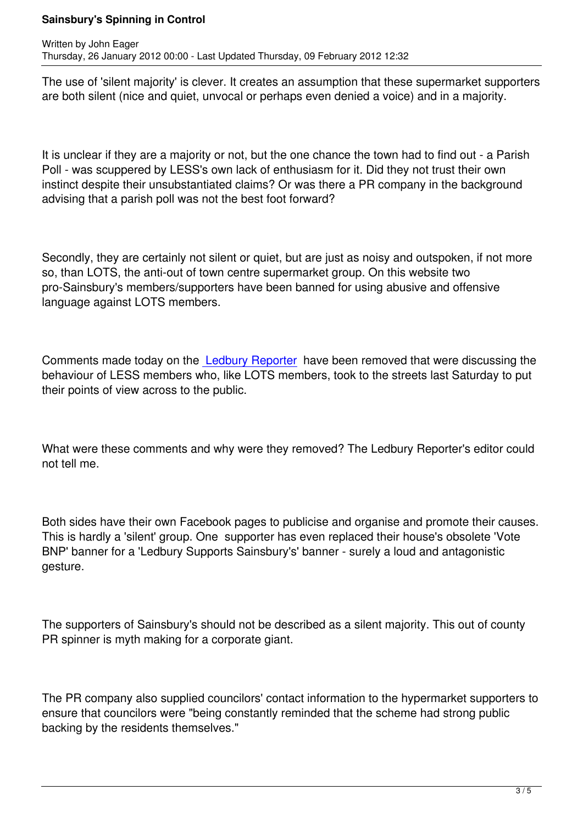The use of 'silent majority' is clever. It creates an assumption that these supermarket supporters are both silent (nice and quiet, unvocal or perhaps even denied a voice) and in a majority.

It is unclear if they are a majority or not, but the one chance the town had to find out - a Parish Poll - was scuppered by LESS's own lack of enthusiasm for it. Did they not trust their own instinct despite their unsubstantiated claims? Or was there a PR company in the background advising that a parish poll was not the best foot forward?

Secondly, they are certainly not silent or quiet, but are just as noisy and outspoken, if not more so, than LOTS, the anti-out of town centre supermarket group. On this website two pro-Sainsbury's members/supporters have been banned for using abusive and offensive language against LOTS members.

Comments made today on the Ledbury Reporter have been removed that were discussing the behaviour of LESS members who, like LOTS members, took to the streets last Saturday to put their points of view across to the public.

What were these comments and why were they removed? The Ledbury Reporter's editor could not tell me.

Both sides have their own Facebook pages to publicise and organise and promote their causes. This is hardly a 'silent' group. One supporter has even replaced their house's obsolete 'Vote BNP' banner for a 'Ledbury Supports Sainsbury's' banner - surely a loud and antagonistic gesture.

The supporters of Sainsbury's should not be described as a silent majority. This out of county PR spinner is myth making for a corporate giant.

The PR company also supplied councilors' contact information to the hypermarket supporters to ensure that councilors were "being constantly reminded that the scheme had strong public backing by the residents themselves."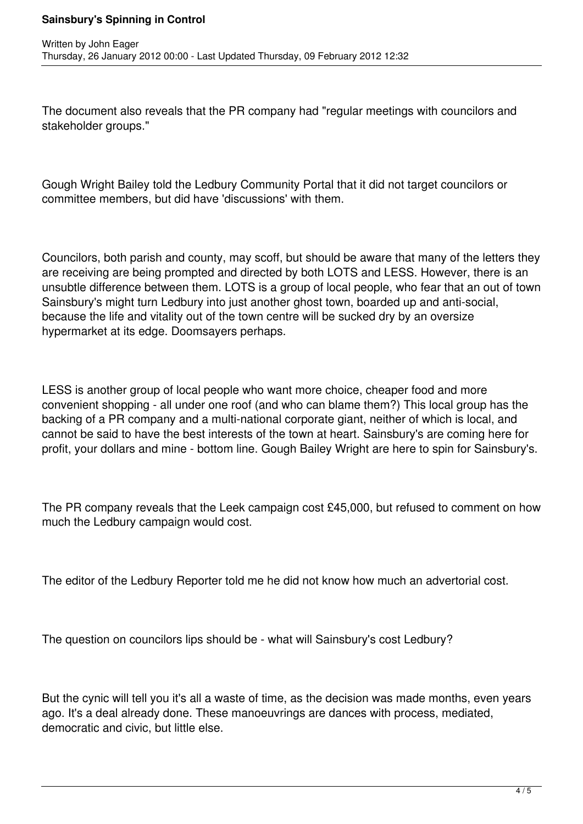The document also reveals that the PR company had "regular meetings with councilors and stakeholder groups."

Gough Wright Bailey told the Ledbury Community Portal that it did not target councilors or committee members, but did have 'discussions' with them.

Councilors, both parish and county, may scoff, but should be aware that many of the letters they are receiving are being prompted and directed by both LOTS and LESS. However, there is an unsubtle difference between them. LOTS is a group of local people, who fear that an out of town Sainsbury's might turn Ledbury into just another ghost town, boarded up and anti-social, because the life and vitality out of the town centre will be sucked dry by an oversize hypermarket at its edge. Doomsayers perhaps.

LESS is another group of local people who want more choice, cheaper food and more convenient shopping - all under one roof (and who can blame them?) This local group has the backing of a PR company and a multi-national corporate giant, neither of which is local, and cannot be said to have the best interests of the town at heart. Sainsbury's are coming here for profit, your dollars and mine - bottom line. Gough Bailey Wright are here to spin for Sainsbury's.

The PR company reveals that the Leek campaign cost £45,000, but refused to comment on how much the Ledbury campaign would cost.

The editor of the Ledbury Reporter told me he did not know how much an advertorial cost.

The question on councilors lips should be - what will Sainsbury's cost Ledbury?

But the cynic will tell you it's all a waste of time, as the decision was made months, even years ago. It's a deal already done. These manoeuvrings are dances with process, mediated, democratic and civic, but little else.